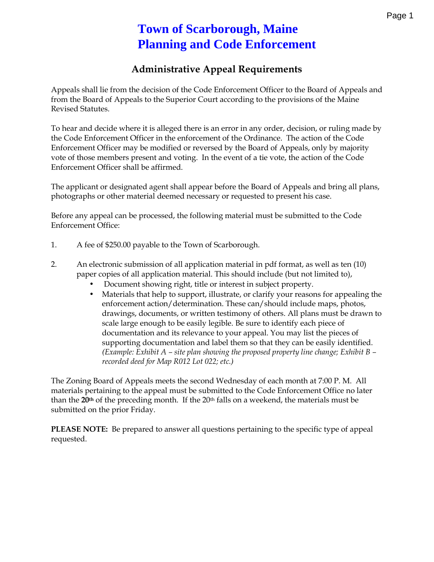## **Town of Scarborough, Maine Planning and Code Enforcement**

## **Administrative Appeal Requirements**

Appeals shall lie from the decision of the Code Enforcement Officer to the Board of Appeals and from the Board of Appeals to the Superior Court according to the provisions of the Maine Revised Statutes.

To hear and decide where it is alleged there is an error in any order, decision, or ruling made by the Code Enforcement Officer in the enforcement of the Ordinance. The action of the Code Enforcement Officer may be modified or reversed by the Board of Appeals, only by majority vote of those members present and voting. In the event of a tie vote, the action of the Code Enforcement Officer shall be affirmed.

The applicant or designated agent shall appear before the Board of Appeals and bring all plans, photographs or other material deemed necessary or requested to present his case.

Before any appeal can be processed, the following material must be submitted to the Code Enforcement Office:

- 1. A fee of \$250.00 payable to the Town of Scarborough.
- 2. An electronic submission of all application material in pdf format, as well as ten (10) paper copies of all application material. This should include (but not limited to),
	- Document showing right, title or interest in subject property.
	- Materials that help to support, illustrate, or clarify your reasons for appealing the enforcement action/determination. These can/should include maps, photos, drawings, documents, or written testimony of others. All plans must be drawn to scale large enough to be easily legible. Be sure to identify each piece of documentation and its relevance to your appeal. You may list the pieces of supporting documentation and label them so that they can be easily identified. *(Example: Exhibit A – site plan showing the proposed property line change; Exhibit B – recorded deed for Map R012 Lot 022; etc.)*

The Zoning Board of Appeals meets the second Wednesday of each month at 7:00 P. M. All materials pertaining to the appeal must be submitted to the Code Enforcement Office no later than the **20th** of the preceding month. If the 20th falls on a weekend, the materials must be submitted on the prior Friday.

**PLEASE NOTE:** Be prepared to answer all questions pertaining to the specific type of appeal requested.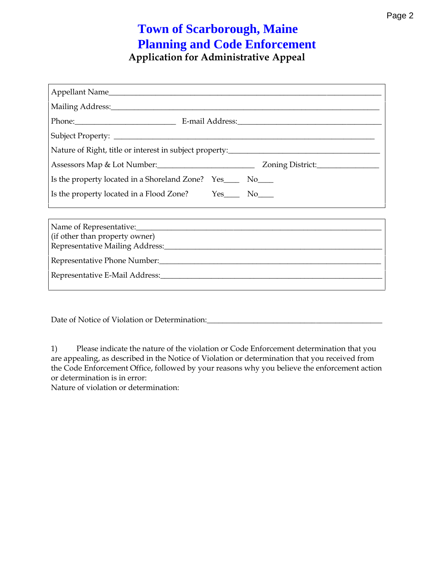## Application for Adminipspte antive

| Mailing Add <u>ress:</u>                                                          |                                           |  |
|-----------------------------------------------------------------------------------|-------------------------------------------|--|
|                                                                                   |                                           |  |
|                                                                                   |                                           |  |
| Nature of Right, title or interest in subject property:__________________________ |                                           |  |
| Assessors Maplu8mbet:_____________________________                                | Zoning District                           |  |
| Is the property located in a Shoreland Zone?                                      | $Yes_{---}$ $No_{---}$                    |  |
| Is the property located in a Flood Zone?                                          | $Yes$ <sub>____</sub>   $No$ ___ <b>_</b> |  |

| (if other than property owner) |  |
|--------------------------------|--|
|                                |  |
|                                |  |
|                                |  |

 $Data$  Date Notice of Violra Determination  $\frac{1}{2}$ 

1) Please indicate the nature of the violatiobent corrom Croadteio Entificate you unt are appealing, as described in the Notice of Violation or determinati the Code Enforcement Office, followed by your reasons why you belie or determination is in error: Nature of tyonal and determination